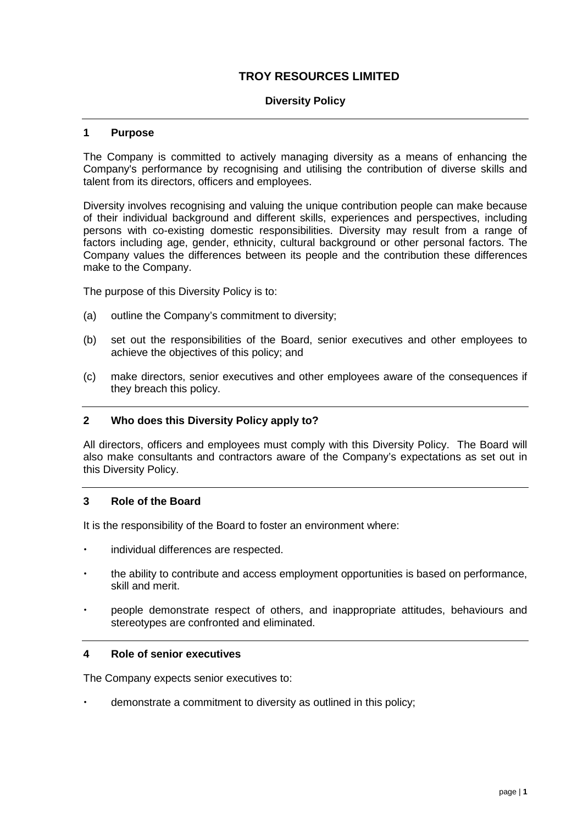# **TROY RESOURCES LIMITED**

### **Diversity Policy**

#### **1 Purpose**

The Company is committed to actively managing diversity as a means of enhancing the Company's performance by recognising and utilising the contribution of diverse skills and talent from its directors, officers and employees.

Diversity involves recognising and valuing the unique contribution people can make because of their individual background and different skills, experiences and perspectives, including persons with co-existing domestic responsibilities. Diversity may result from a range of factors including age, gender, ethnicity, cultural background or other personal factors. The Company values the differences between its people and the contribution these differences make to the Company.

The purpose of this Diversity Policy is to:

- (a) outline the Company's commitment to diversity;
- (b) set out the responsibilities of the Board, senior executives and other employees to achieve the objectives of this policy; and
- (c) make directors, senior executives and other employees aware of the consequences if they breach this policy.

#### **2 Who does this Diversity Policy apply to?**

All directors, officers and employees must comply with this Diversity Policy. The Board will also make consultants and contractors aware of the Company's expectations as set out in this Diversity Policy.

#### **3 Role of the Board**

It is the responsibility of the Board to foster an environment where:

- individual differences are respected.
- the ability to contribute and access employment opportunities is based on performance, skill and merit.
- people demonstrate respect of others, and inappropriate attitudes, behaviours and stereotypes are confronted and eliminated.

#### **4 Role of senior executives**

The Company expects senior executives to:

demonstrate a commitment to diversity as outlined in this policy;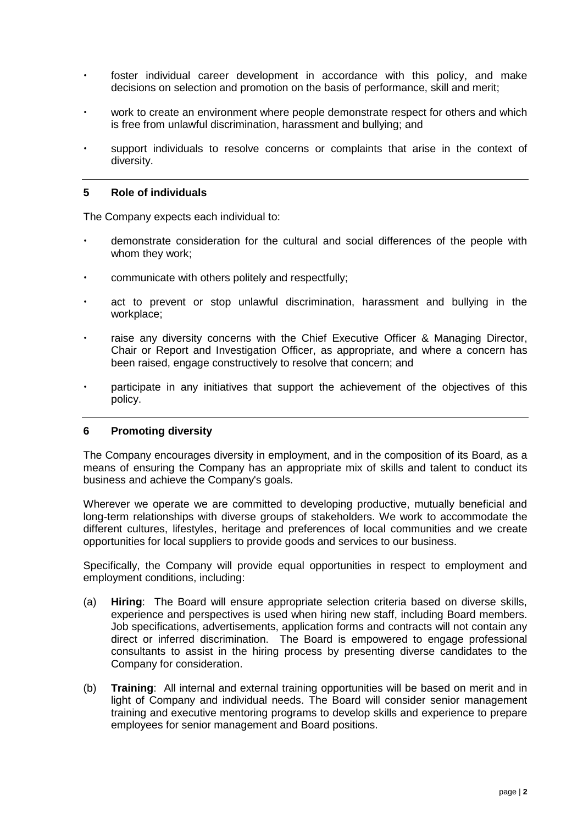- foster individual career development in accordance with this policy, and make decisions on selection and promotion on the basis of performance, skill and merit;
- work to create an environment where people demonstrate respect for others and which is free from unlawful discrimination, harassment and bullying; and
- support individuals to resolve concerns or complaints that arise in the context of diversity.

#### **5 Role of individuals**

The Company expects each individual to:

- demonstrate consideration for the cultural and social differences of the people with whom they work;
- communicate with others politely and respectfully;
- act to prevent or stop unlawful discrimination, harassment and bullying in the workplace;
- raise any diversity concerns with the Chief Executive Officer & Managing Director, Chair or Report and Investigation Officer, as appropriate, and where a concern has been raised, engage constructively to resolve that concern; and
- participate in any initiatives that support the achievement of the objectives of this policy.

### **6 Promoting diversity**

The Company encourages diversity in employment, and in the composition of its Board, as a means of ensuring the Company has an appropriate mix of skills and talent to conduct its business and achieve the Company's goals.

Wherever we operate we are committed to developing productive, mutually beneficial and long-term relationships with diverse groups of stakeholders. We work to accommodate the different cultures, lifestyles, heritage and preferences of local communities and we create opportunities for local suppliers to provide goods and services to our business.

Specifically, the Company will provide equal opportunities in respect to employment and employment conditions, including:

- (a) **Hiring**:The Board will ensure appropriate selection criteria based on diverse skills, experience and perspectives is used when hiring new staff, including Board members. Job specifications, advertisements, application forms and contracts will not contain any direct or inferred discrimination. The Board is empowered to engage professional consultants to assist in the hiring process by presenting diverse candidates to the Company for consideration.
- (b) **Training**: All internal and external training opportunities will be based on merit and in light of Company and individual needs. The Board will consider senior management training and executive mentoring programs to develop skills and experience to prepare employees for senior management and Board positions.